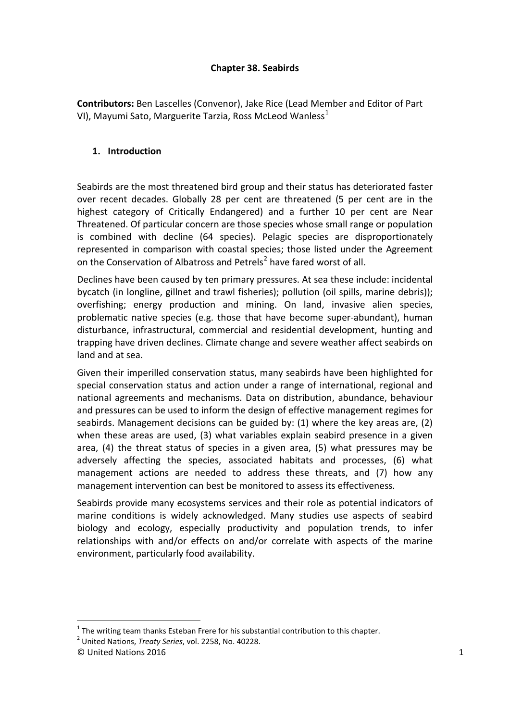# **Chapter 38. Seabirds**

**Contributors:** Ben Lascelles (Convenor), Jake Rice (Lead Member and Editor of Part VI), Mayumi Sato, Marguerite Tarzia, Ross McLeod Wanless $<sup>1</sup>$  $<sup>1</sup>$  $<sup>1</sup>$ </sup>

## **1. Introduction**

Seabirds are the most threatened bird group and their status has deteriorated faster over recent decades. Globally 28 per cent are threatened (5 per cent are in the highest category of Critically Endangered) and a further 10 per cent are Near Threatened. Of particular concern are those species whose small range or population is combined with decline (64 species). Pelagic species are disproportionately represented in comparison with coastal species; those listed under the Agreement on the Conservation of Albatross and Petrels<sup>[2](#page-0-1)</sup> have fared worst of all.

Declines have been caused by ten primary pressures. At sea these include: incidental bycatch (in longline, gillnet and trawl fisheries); pollution (oil spills, marine debris)); overfishing; energy production and mining. On land, invasive alien species, problematic native species (e.g. those that have become super-abundant), human disturbance, infrastructural, commercial and residential development, hunting and trapping have driven declines. Climate change and severe weather affect seabirds on land and at sea.

Given their imperilled conservation status, many seabirds have been highlighted for special conservation status and action under a range of international, regional and national agreements and mechanisms. Data on distribution, abundance, behaviour and pressures can be used to inform the design of effective management regimes for seabirds. Management decisions can be guided by: (1) where the key areas are, (2) when these areas are used, (3) what variables explain seabird presence in a given area, (4) the threat status of species in a given area, (5) what pressures may be adversely affecting the species, associated habitats and processes, (6) what management actions are needed to address these threats, and (7) how any management intervention can best be monitored to assess its effectiveness.

Seabirds provide many ecosystems services and their role as potential indicators of marine conditions is widely acknowledged. Many studies use aspects of seabird biology and ecology, especially productivity and population trends, to infer relationships with and/or effects on and/or correlate with aspects of the marine environment, particularly food availability.

**.** 

 $1$  The writing team thanks Esteban Frere for his substantial contribution to this chapter.

<span id="page-0-1"></span><span id="page-0-0"></span><sup>2</sup> United Nations, *Treaty Series*, vol. 2258, No. 40228.

<sup>©</sup> United Nations 2016 1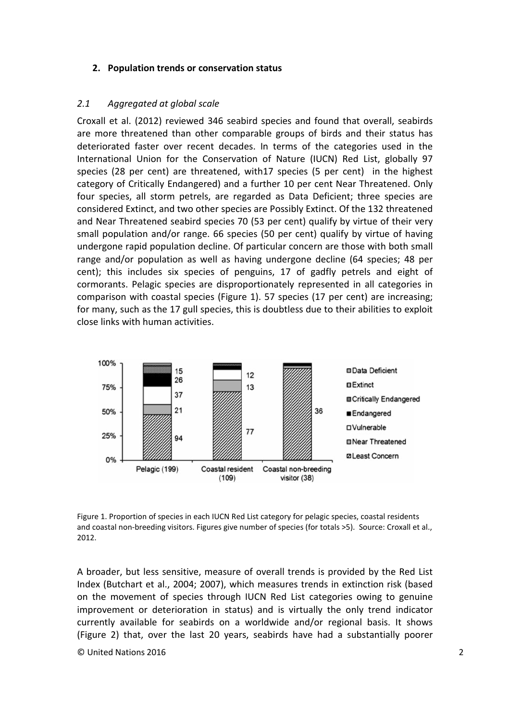#### **2. Population trends or conservation status**

#### *2.1 Aggregated at global scale*

Croxall et al. (2012) reviewed 346 seabird species and found that overall, seabirds are more threatened than other comparable groups of birds and their status has deteriorated faster over recent decades. In terms of the categories used in the International Union for the Conservation of Nature (IUCN) Red List, globally 97 species (28 per cent) are threatened, with17 species (5 per cent) in the highest category of Critically Endangered) and a further 10 per cent Near Threatened. Only four species, all storm petrels, are regarded as Data Deficient; three species are considered Extinct, and two other species are Possibly Extinct. Of the 132 threatened and Near Threatened seabird species 70 (53 per cent) qualify by virtue of their very small population and/or range. 66 species (50 per cent) qualify by virtue of having undergone rapid population decline. Of particular concern are those with both small range and/or population as well as having undergone decline (64 species; 48 per cent); this includes six species of penguins, 17 of gadfly petrels and eight of cormorants. Pelagic species are disproportionately represented in all categories in comparison with coastal species (Figure 1). 57 species (17 per cent) are increasing; for many, such as the 17 gull species, this is doubtless due to their abilities to exploit close links with human activities.



Figure 1. Proportion of species in each IUCN Red List category for pelagic species, coastal residents and coastal non-breeding visitors. Figures give number of species (for totals >5). Source: Croxall et al., 2012.

A broader, but less sensitive, measure of overall trends is provided by the Red List Index (Butchart et al., 2004; 2007), which measures trends in extinction risk (based on the movement of species through IUCN Red List categories owing to genuine improvement or deterioration in status) and is virtually the only trend indicator currently available for seabirds on a worldwide and/or regional basis. It shows (Figure 2) that, over the last 20 years, seabirds have had a substantially poorer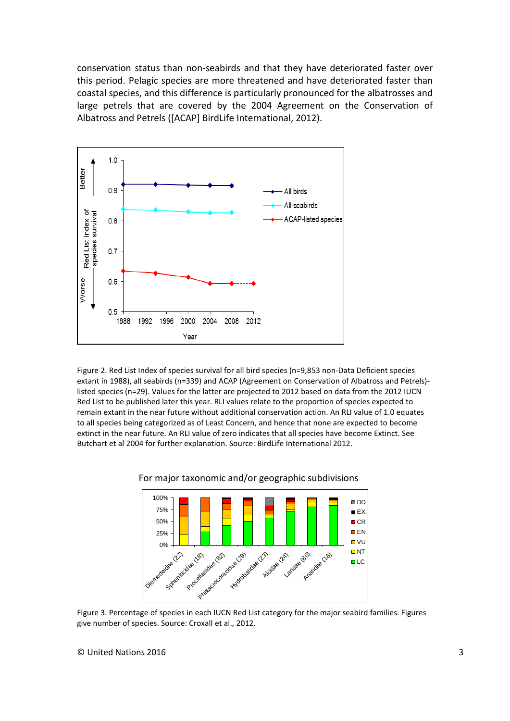conservation status than non-seabirds and that they have deteriorated faster over this period. Pelagic species are more threatened and have deteriorated faster than coastal species, and this difference is particularly pronounced for the albatrosses and large petrels that are covered by the 2004 Agreement on the Conservation of Albatross and Petrels ([ACAP] BirdLife International, 2012).



Figure 2. Red List Index of species survival for all bird species (n=9,853 non-Data Deficient species extant in 1988), all seabirds (n=339) and ACAP (Agreement on Conservation of Albatross and Petrels) listed species (n=29). Values for the latter are projected to 2012 based on data from the 2012 IUCN Red List to be published later this year. RLI values relate to the proportion of species expected to remain extant in the near future without additional conservation action. An RLI value of 1.0 equates to all species being categorized as of Least Concern, and hence that none are expected to become extinct in the near future. An RLI value of zero indicates that all species have become Extinct. See Butchart et al 2004 for further explanation. Source: BirdLife International 2012.



For major taxonomic and/or geographic subdivisions

Figure 3. Percentage of species in each IUCN Red List category for the major seabird families. Figures give number of species. Source: Croxall et al., 2012.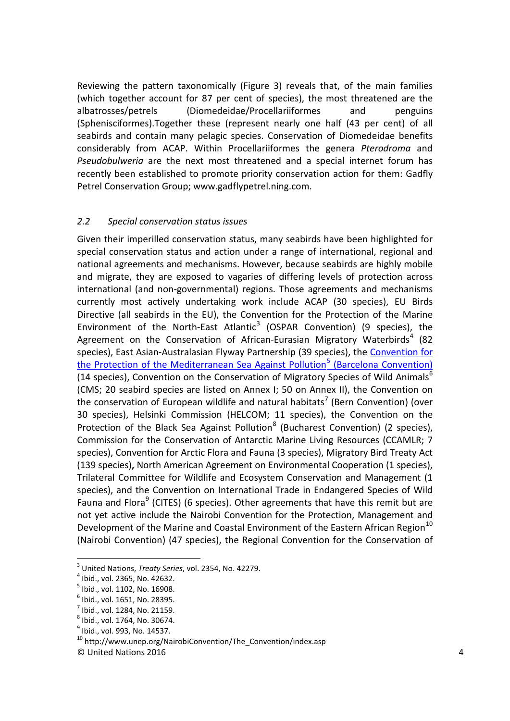Reviewing the pattern taxonomically (Figure 3) reveals that, of the main families (which together account for 87 per cent of species), the most threatened are the albatrosses/petrels (Diomedeidae/Procellariiformes and penguins (Sphenisciformes).Together these (represent nearly one half (43 per cent) of all seabirds and contain many pelagic species. Conservation of Diomedeidae benefits considerably from ACAP. Within Procellariiformes the genera *Pterodroma* and *Pseudobulweria* are the next most threatened and a special internet forum has recently been established to promote priority conservation action for them: Gadfly Petrel Conservation Group; www.gadflypetrel.ning.com.

#### *2.2 Special conservation status issues*

Given their imperilled conservation status, many seabirds have been highlighted for special conservation status and action under a range of international, regional and national agreements and mechanisms. However, because seabirds are highly mobile and migrate, they are exposed to vagaries of differing levels of protection across international (and non-governmental) regions. Those agreements and mechanisms currently most actively undertaking work include ACAP (30 species), EU Birds Directive (all seabirds in the EU), the Convention for the Protection of the Marine Environment of the North-East Atlantic<sup>[3](#page-3-0)</sup> (OSPAR Convention) (9 species), the Agreement on the Conservation of African-Eurasian Migratory Waterbirds<sup>[4](#page-3-1)</sup> (82 species), East Asian-Australasian Flyway Partnership (39 species), the [Convention for](http://195.97.36.231/dbases/webdocs/BCP/BC76_Eng.pdf)  [the Protection of the Mediterranean Sea Against Pollution](http://195.97.36.231/dbases/webdocs/BCP/BC76_Eng.pdf)<sup>[5](#page-3-2)</sup> (Barcelona Convention) (14 species), Convention on the Conservation of Migratory Species of Wild Animals<sup>[6](#page-3-3)</sup> (CMS; 20 seabird species are listed on Annex I; 50 on Annex II), the Convention on the conservation of European wildlife and natural habitats<sup>[7](#page-3-4)</sup> (Bern Convention) (over 30 species), Helsinki Commission (HELCOM; 11 species), the Convention on the Protection of the Black Sea Against Pollution<sup>[8](#page-3-5)</sup> (Bucharest Convention) (2 species), Commission for the Conservation of Antarctic Marine Living Resources (CCAMLR; 7 species), Convention for Arctic Flora and Fauna (3 species), Migratory Bird Treaty Act (139 species)**,** North American Agreement on Environmental Cooperation (1 species), Trilateral Committee for Wildlife and Ecosystem Conservation and Management (1 species), and the Convention on International Trade in Endangered Species of Wild Fauna and Flora<sup>[9](#page-3-6)</sup> (CITES) (6 species). Other agreements that have this remit but are not yet active include the Nairobi Convention for the Protection, Management and Development of the Marine and Coastal Environment of the Eastern African Region<sup>[10](#page-3-7)</sup> (Nairobi Convention) (47 species), the Regional Convention for the Conservation of

**.** 

<span id="page-3-2"></span>

<span id="page-3-3"></span>

<span id="page-3-4"></span>

<span id="page-3-5"></span>

<span id="page-3-6"></span>

<span id="page-3-1"></span><span id="page-3-0"></span><sup>&</sup>lt;sup>3</sup> United Nations, *Treaty Series*, vol. 2354, No. 42279.<br>
<sup>4</sup> Ibid., vol. 2365, No. 42632.<br>
<sup>5</sup> Ibid., vol. 1102, No. 16908.<br>
<sup>6</sup> Ibid., vol. 1651, No. 28395.<br>
<sup>7</sup> Ibid., vol. 1284, No. 21159.<br>
<sup>8</sup> Ibid., vol. 1764, No.

<span id="page-3-7"></span><sup>©</sup> United Nations 2016 4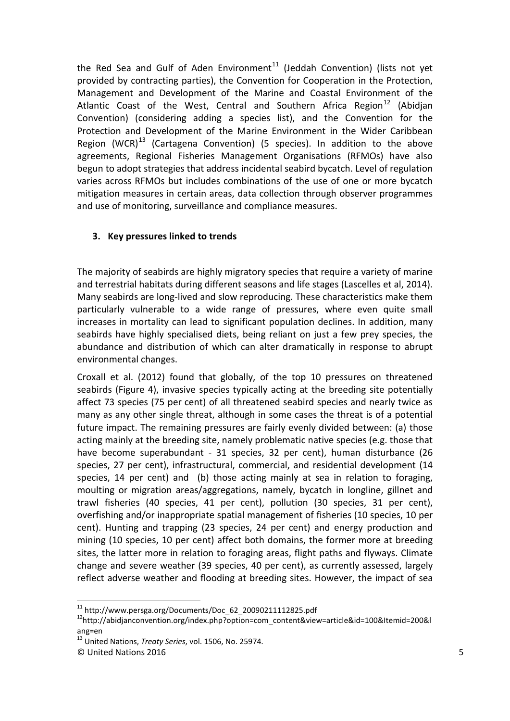the Red Sea and Gulf of Aden Environment<sup>[11](#page-4-0)</sup> (Jeddah Convention) (lists not yet provided by contracting parties), the Convention for Cooperation in the Protection, Management and Development of the Marine and Coastal Environment of the Atlantic Coast of the West, Central and Southern Africa Region<sup>[12](#page-4-1)</sup> (Abidjan Convention) (considering adding a species list), and the Convention for the Protection and Development of the Marine Environment in the Wider Caribbean Region (WCR)<sup>[13](#page-4-2)</sup> (Cartagena Convention) (5 species). In addition to the above agreements, Regional Fisheries Management Organisations (RFMOs) have also begun to adopt strategies that address incidental seabird bycatch. Level of regulation varies across RFMOs but includes combinations of the use of one or more bycatch mitigation measures in certain areas, data collection through observer programmes and use of monitoring, surveillance and compliance measures.

# **3. Key pressures linked to trends**

The majority of seabirds are highly migratory species that require a variety of marine and terrestrial habitats during different seasons and life stages (Lascelles et al, 2014). Many seabirds are long-lived and slow reproducing. These characteristics make them particularly vulnerable to a wide range of pressures, where even quite small increases in mortality can lead to significant population declines. In addition, many seabirds have highly specialised diets, being reliant on just a few prey species, the abundance and distribution of which can alter dramatically in response to abrupt environmental changes.

Croxall et al. (2012) found that globally, of the top 10 pressures on threatened seabirds (Figure 4), invasive species typically acting at the breeding site potentially affect 73 species (75 per cent) of all threatened seabird species and nearly twice as many as any other single threat, although in some cases the threat is of a potential future impact. The remaining pressures are fairly evenly divided between: (a) those acting mainly at the breeding site, namely problematic native species (e.g. those that have become superabundant - 31 species, 32 per cent), human disturbance (26 species, 27 per cent), infrastructural, commercial, and residential development (14 species, 14 per cent) and (b) those acting mainly at sea in relation to foraging, moulting or migration areas/aggregations, namely, bycatch in longline, gillnet and trawl fisheries (40 species, 41 per cent), pollution (30 species, 31 per cent), overfishing and/or inappropriate spatial management of fisheries (10 species, 10 per cent). Hunting and trapping (23 species, 24 per cent) and energy production and mining (10 species, 10 per cent) affect both domains, the former more at breeding sites, the latter more in relation to foraging areas, flight paths and flyways. Climate change and severe weather (39 species, 40 per cent), as currently assessed, largely reflect adverse weather and flooding at breeding sites. However, the impact of sea

**.** 

<span id="page-4-1"></span><span id="page-4-0"></span><sup>&</sup>lt;sup>11</sup> http://www.persga.org/Documents/Doc\_62\_20090211112825.pdf<br><sup>12</sup>http://abidjanconvention.org/index.php?option=com\_content&view=article&id=100&Itemid=200&I ang=en

<span id="page-4-2"></span><sup>13</sup> United Nations, *Treaty Series*, vol. 1506, No. 25974.

<sup>©</sup> United Nations 2016 5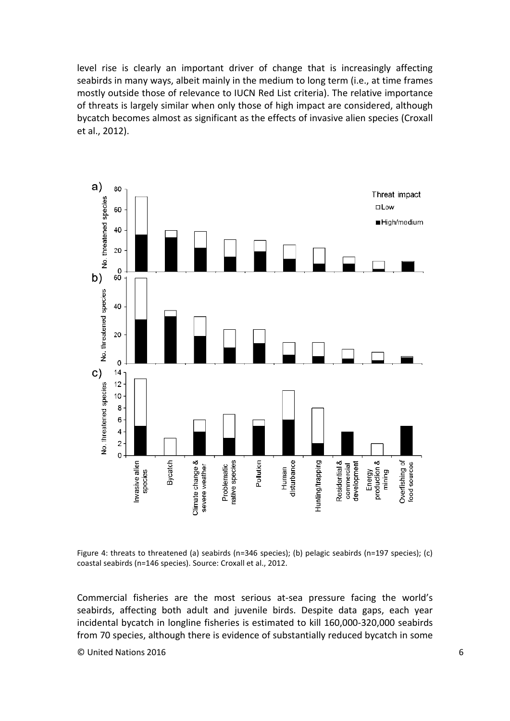level rise is clearly an important driver of change that is increasingly affecting seabirds in many ways, albeit mainly in the medium to long term (i.e., at time frames mostly outside those of relevance to IUCN Red List criteria). The relative importance of threats is largely similar when only those of high impact are considered, although bycatch becomes almost as significant as the effects of invasive alien species (Croxall et al., 2012).



Figure 4: threats to threatened (a) seabirds (n=346 species); (b) pelagic seabirds (n=197 species); (c) coastal seabirds (n=146 species). Source: Croxall et al., 2012.

Commercial fisheries are the most serious at-sea pressure facing the world's seabirds, affecting both adult and juvenile birds. Despite data gaps, each year incidental bycatch in longline fisheries is estimated to kill 160,000-320,000 seabirds from 70 species, although there is evidence of substantially reduced bycatch in some

© United Nations 2016 6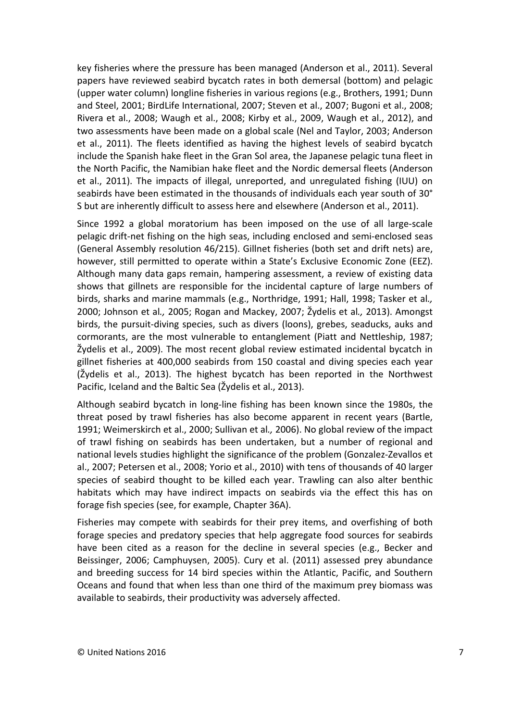key fisheries where the pressure has been managed (Anderson et al., 2011). Several papers have reviewed seabird bycatch rates in both demersal (bottom) and pelagic (upper water column) longline fisheries in various regions (e.g., Brothers, 1991; Dunn and Steel, 2001; BirdLife International, 2007; Steven et al., 2007; Bugoni et al., 2008; Rivera et al., 2008; Waugh et al., 2008; Kirby et al., 2009, Waugh et al., 2012), and two assessments have been made on a global scale (Nel and Taylor, 2003; Anderson et al., 2011). The fleets identified as having the highest levels of seabird bycatch include the Spanish hake fleet in the Gran Sol area, the Japanese pelagic tuna fleet in the North Pacific, the Namibian hake fleet and the Nordic demersal fleets (Anderson et al., 2011). The impacts of illegal, unreported, and unregulated fishing (IUU) on seabirds have been estimated in the thousands of individuals each year south of 30° S but are inherently difficult to assess here and elsewhere (Anderson et al., 2011).

Since 1992 a global moratorium has been imposed on the use of all large-scale pelagic drift-net fishing on the high seas, including enclosed and semi-enclosed seas (General Assembly resolution 46/215). Gillnet fisheries (both set and drift nets) are, however, still permitted to operate within a State's Exclusive Economic Zone (EEZ). Although many data gaps remain, hampering assessment, a review of existing data shows that gillnets are responsible for the incidental capture of large numbers of birds, sharks and marine mammals (e.g., Northridge, 1991; Hall, 1998; Tasker et al*.,* 2000; Johnson et al*.,* 2005; Rogan and Mackey, 2007; Žydelis et al*.,* 2013). Amongst birds, the pursuit-diving species, such as divers (loons), grebes, seaducks, auks and cormorants, are the most vulnerable to entanglement (Piatt and Nettleship, 1987; Žydelis et al., 2009). The most recent global review estimated incidental bycatch in gillnet fisheries at 400,000 seabirds from 150 coastal and diving species each year (Žydelis et al., 2013). The highest bycatch has been reported in the Northwest Pacific, Iceland and the Baltic Sea (Žydelis et al., 2013).

Although seabird bycatch in long-line fishing has been known since the 1980s, the threat posed by trawl fisheries has also become apparent in recent years (Bartle, 1991; Weimerskirch et al., 2000; Sullivan et al*.,* 2006). No global review of the impact of trawl fishing on seabirds has been undertaken, but a number of regional and national levels studies highlight the significance of the problem (Gonzalez-Zevallos et al., 2007; Petersen et al., 2008; Yorio et al., 2010) with tens of thousands of 40 larger species of seabird thought to be killed each year. Trawling can also alter benthic habitats which may have indirect impacts on seabirds via the effect this has on forage fish species (see, for example, Chapter 36A).

Fisheries may compete with seabirds for their prey items, and overfishing of both forage species and predatory species that help aggregate food sources for seabirds have been cited as a reason for the decline in several species (e.g., Becker and Beissinger, 2006; Camphuysen, 2005). Cury et al. (2011) assessed prey abundance and breeding success for 14 bird species within the Atlantic, Pacific, and Southern Oceans and found that when less than one third of the maximum prey biomass was available to seabirds, their productivity was adversely affected.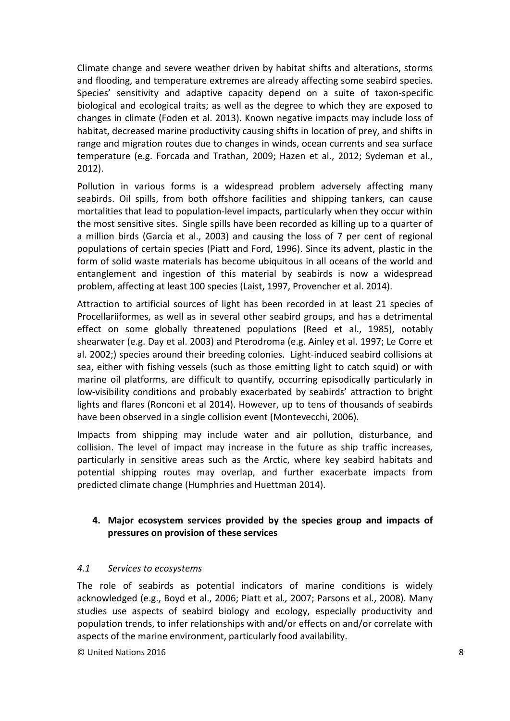Climate change and severe weather driven by habitat shifts and alterations, storms and flooding, and temperature extremes are already affecting some seabird species. Species' sensitivity and adaptive capacity depend on a suite of taxon-specific biological and ecological traits; as well as the degree to which they are exposed to changes in climate (Foden et al. 2013). Known negative impacts may include loss of habitat, decreased marine productivity causing shifts in location of prey, and shifts in range and migration routes due to changes in winds, ocean currents and sea surface temperature (e.g. Forcada and Trathan, 2009; Hazen et al., 2012; Sydeman et al., 2012).

Pollution in various forms is a widespread problem adversely affecting many seabirds. Oil spills, from both offshore facilities and shipping tankers, can cause mortalities that lead to population-level impacts, particularly when they occur within the most sensitive sites. Single spills have been recorded as killing up to a quarter of a million birds (García et al., 2003) and causing the loss of 7 per cent of regional populations of certain species (Piatt and Ford, 1996). Since its advent, plastic in the form of solid waste materials has become ubiquitous in all oceans of the world and entanglement and ingestion of this material by seabirds is now a widespread problem, affecting at least 100 species (Laist, 1997, Provencher et al. 2014).

Attraction to artificial sources of light has been recorded in at least 21 species of Procellariiformes, as well as in several other seabird groups, and has a detrimental effect on some globally threatened populations (Reed et al., 1985), notably shearwater (e.g. Day et al. 2003) and Pterodroma (e.g. Ainley et al. 1997; Le Corre et al. 2002;) species around their breeding colonies. Light-induced seabird collisions at sea, either with fishing vessels (such as those emitting light to catch squid) or with marine oil platforms, are difficult to quantify, occurring episodically particularly in low-visibility conditions and probably exacerbated by seabirds' attraction to bright lights and flares (Ronconi et al 2014). However, up to tens of thousands of seabirds have been observed in a single collision event (Montevecchi, 2006).

Impacts from shipping may include water and air pollution, disturbance, and collision. The level of impact may increase in the future as ship traffic increases, particularly in sensitive areas such as the Arctic, where key seabird habitats and potential shipping routes may overlap, and further exacerbate impacts from predicted climate change (Humphries and Huettman 2014).

# **4. Major ecosystem services provided by the species group and impacts of pressures on provision of these services**

#### *4.1 Services to ecosystems*

The role of seabirds as potential indicators of marine conditions is widely acknowledged (e.g., Boyd et al., 2006; Piatt et al*.,* 2007; Parsons et al*.*, 2008). Many studies use aspects of seabird biology and ecology, especially productivity and population trends, to infer relationships with and/or effects on and/or correlate with aspects of the marine environment, particularly food availability.

© United Nations 2016 8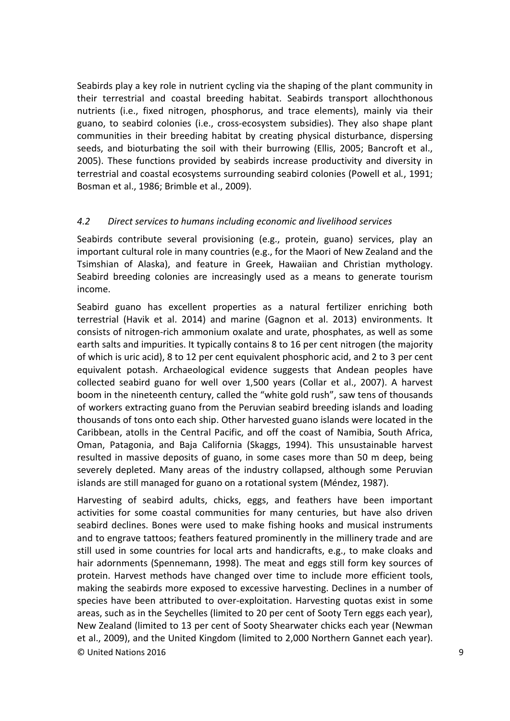Seabirds play a key role in nutrient cycling via the shaping of the plant community in their terrestrial and coastal breeding habitat. Seabirds transport allochthonous nutrients (i.e., fixed nitrogen, phosphorus, and trace elements), mainly via their guano, to seabird colonies (i.e., cross-ecosystem subsidies). They also shape plant communities in their breeding habitat by creating physical disturbance, dispersing seeds, and bioturbating the soil with their burrowing (Ellis, 2005; Bancroft et al., 2005). These functions provided by seabirds increase productivity and diversity in terrestrial and coastal ecosystems surrounding seabird colonies (Powell et al*.*, 1991; Bosman et al., 1986; Brimble et al., 2009).

#### *4.2 Direct services to humans including economic and livelihood services*

Seabirds contribute several provisioning (e.g., protein, guano) services, play an important cultural role in many countries (e.g., for the Maori of New Zealand and the Tsimshian of Alaska), and feature in Greek, Hawaiian and Christian mythology. Seabird breeding colonies are increasingly used as a means to generate tourism income.

Seabird guano has excellent properties as a natural fertilizer enriching both terrestrial (Havik et al. 2014) and marine (Gagnon et al. 2013) environments. It consists of nitrogen-rich ammonium oxalate and urate, phosphates, as well as some earth salts and impurities. It typically contains 8 to 16 per cent nitrogen (the majority of which is uric acid), 8 to 12 per cent equivalent phosphoric acid, and 2 to 3 per cent equivalent potash. Archaeological evidence suggests that Andean peoples have collected seabird guano for well over 1,500 years (Collar et al., 2007). A harvest boom in the nineteenth century, called the "white gold rush", saw tens of thousands of workers extracting guano from the Peruvian seabird breeding islands and loading thousands of tons onto each ship. Other harvested guano islands were located in the Caribbean, atolls in the Central Pacific, and off the coast of Namibia, South Africa, Oman, Patagonia, and Baja California (Skaggs, 1994). This unsustainable harvest resulted in massive deposits of guano, in some cases more than 50 m deep, being severely depleted. Many areas of the industry collapsed, although some Peruvian islands are still managed for guano on a rotational system (Méndez, 1987).

Harvesting of seabird adults, chicks, eggs, and feathers have been important activities for some coastal communities for many centuries, but have also driven seabird declines. Bones were used to make fishing hooks and musical instruments and to engrave tattoos; feathers featured prominently in the millinery trade and are still used in some countries for local arts and handicrafts, e.g., to make cloaks and hair adornments (Spennemann, 1998). The meat and eggs still form key sources of protein. Harvest methods have changed over time to include more efficient tools, making the seabirds more exposed to excessive harvesting. Declines in a number of species have been attributed to over-exploitation. Harvesting quotas exist in some areas, such as in the Seychelles (limited to 20 per cent of Sooty Tern eggs each year), New Zealand (limited to 13 per cent of Sooty Shearwater chicks each year (Newman et al., 2009), and the United Kingdom (limited to 2,000 Northern Gannet each year). © United Nations 2016 9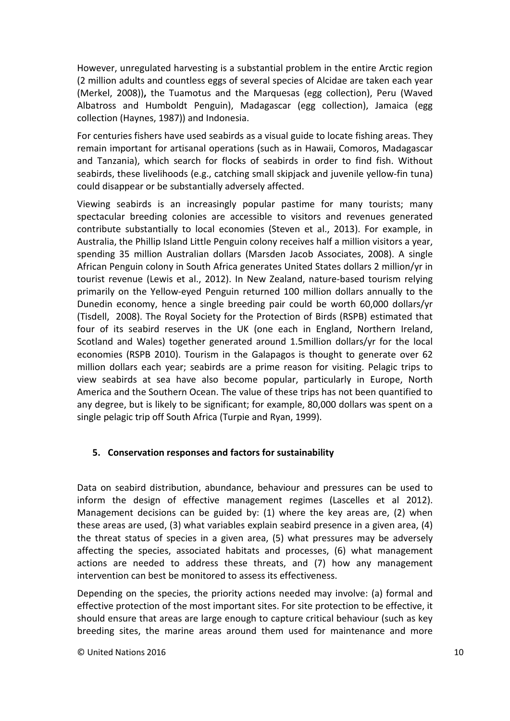However, unregulated harvesting is a substantial problem in the entire Arctic region (2 million adults and countless eggs of several species of Alcidae are taken each year (Merkel, 2008))**,** the Tuamotus and the Marquesas (egg collection), Peru (Waved Albatross and Humboldt Penguin), Madagascar (egg collection), Jamaica (egg collection (Haynes, 1987)) and Indonesia.

For centuries fishers have used seabirds as a visual guide to locate fishing areas. They remain important for artisanal operations (such as in Hawaii, Comoros, Madagascar and Tanzania), which search for flocks of seabirds in order to find fish. Without seabirds, these livelihoods (e.g., catching small skipjack and juvenile yellow-fin tuna) could disappear or be substantially adversely affected.

Viewing seabirds is an increasingly popular pastime for many tourists; many spectacular breeding colonies are accessible to visitors and revenues generated contribute substantially to local economies (Steven et al., 2013). For example, in Australia, the Phillip Island Little Penguin colony receives half a million visitors a year, spending 35 million Australian dollars (Marsden Jacob Associates, 2008). A single African Penguin colony in South Africa generates United States dollars 2 million/yr in tourist revenue (Lewis et al., 2012). In New Zealand, nature-based tourism relying primarily on the Yellow-eyed Penguin returned 100 million dollars annually to the Dunedin economy, hence a single breeding pair could be worth 60,000 dollars/yr (Tisdell, 2008). The Royal Society for the Protection of Birds (RSPB) estimated that four of its seabird reserves in the UK (one each in England, Northern Ireland, Scotland and Wales) together generated around 1.5million dollars/yr for the local economies (RSPB 2010). Tourism in the Galapagos is thought to generate over 62 million dollars each year; seabirds are a prime reason for visiting. Pelagic trips to view seabirds at sea have also become popular, particularly in Europe, North America and the Southern Ocean. The value of these trips has not been quantified to any degree, but is likely to be significant; for example, 80,000 dollars was spent on a single pelagic trip off South Africa (Turpie and Ryan, 1999).

# **5. Conservation responses and factors for sustainability**

Data on seabird distribution, abundance, behaviour and pressures can be used to inform the design of effective management regimes (Lascelles et al 2012). Management decisions can be guided by: (1) where the key areas are, (2) when these areas are used, (3) what variables explain seabird presence in a given area, (4) the threat status of species in a given area, (5) what pressures may be adversely affecting the species, associated habitats and processes, (6) what management actions are needed to address these threats, and (7) how any management intervention can best be monitored to assess its effectiveness.

Depending on the species, the priority actions needed may involve: (a) formal and effective protection of the most important sites. For site protection to be effective, it should ensure that areas are large enough to capture critical behaviour (such as key breeding sites, the marine areas around them used for maintenance and more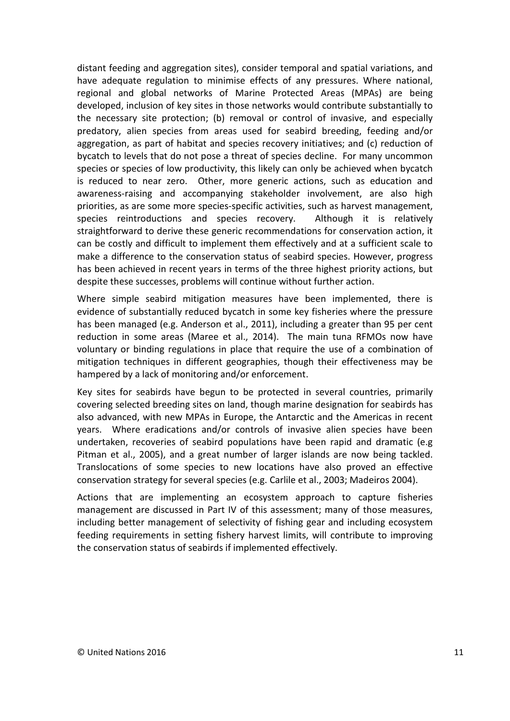distant feeding and aggregation sites), consider temporal and spatial variations, and have adequate regulation to minimise effects of any pressures. Where national, regional and global networks of Marine Protected Areas (MPAs) are being developed, inclusion of key sites in those networks would contribute substantially to the necessary site protection; (b) removal or control of invasive, and especially predatory, alien species from areas used for seabird breeding, feeding and/or aggregation, as part of habitat and species recovery initiatives; and (c) reduction of bycatch to levels that do not pose a threat of species decline. For many uncommon species or species of low productivity, this likely can only be achieved when bycatch is reduced to near zero. Other, more generic actions, such as education and awareness-raising and accompanying stakeholder involvement, are also high priorities, as are some more species-specific activities, such as harvest management, species reintroductions and species recovery. Although it is relatively straightforward to derive these generic recommendations for conservation action, it can be costly and difficult to implement them effectively and at a sufficient scale to make a difference to the conservation status of seabird species. However, progress has been achieved in recent years in terms of the three highest priority actions, but despite these successes, problems will continue without further action.

Where simple seabird mitigation measures have been implemented, there is evidence of substantially reduced bycatch in some key fisheries where the pressure has been managed (e.g. Anderson et al., 2011), including a greater than 95 per cent reduction in some areas (Maree et al., 2014). The main tuna RFMOs now have voluntary or binding regulations in place that require the use of a combination of mitigation techniques in different geographies, though their effectiveness may be hampered by a lack of monitoring and/or enforcement.

Key sites for seabirds have begun to be protected in several countries, primarily covering selected breeding sites on land, though marine designation for seabirds has also advanced, with new MPAs in Europe, the Antarctic and the Americas in recent years. Where eradications and/or controls of invasive alien species have been undertaken, recoveries of seabird populations have been rapid and dramatic (e.g Pitman et al., 2005), and a great number of larger islands are now being tackled. Translocations of some species to new locations have also proved an effective conservation strategy for several species (e.g. Carlile et al., 2003; Madeiros 2004).

Actions that are implementing an ecosystem approach to capture fisheries management are discussed in Part IV of this assessment; many of those measures, including better management of selectivity of fishing gear and including ecosystem feeding requirements in setting fishery harvest limits, will contribute to improving the conservation status of seabirds if implemented effectively.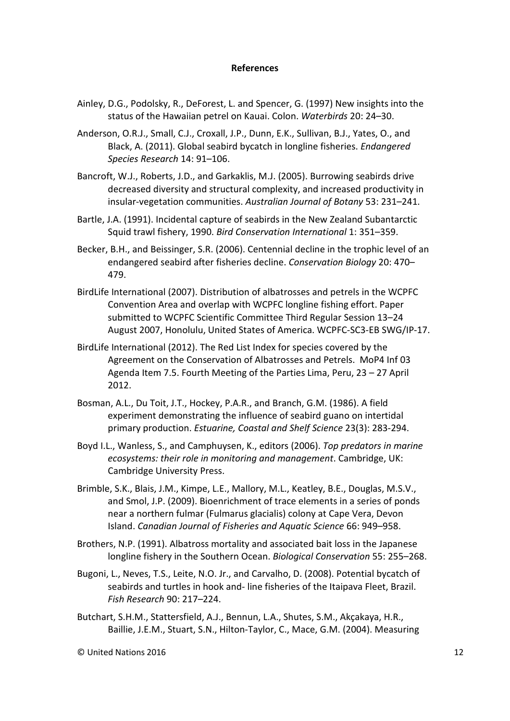#### **References**

- Ainley, D.G., Podolsky, R., DeForest, L. and Spencer, G. (1997) New insights into the status of the Hawaiian petrel on Kauai. Colon. *Waterbirds* 20: 24–30.
- Anderson, O.R.J., Small, C.J., Croxall, J.P., Dunn, E.K., Sullivan, B.J., Yates, O., and Black, A. (2011). Global seabird bycatch in longline fisheries. *Endangered Species Research* 14: 91–106.
- Bancroft, W.J., Roberts, J.D., and Garkaklis, M.J. (2005). Burrowing seabirds drive decreased diversity and structural complexity, and increased productivity in insular-vegetation communities. *Australian Journal of Botany* 53: 231–241.
- Bartle, J.A. (1991). Incidental capture of seabirds in the New Zealand Subantarctic Squid trawl fishery, 1990. *Bird Conservation International* 1: 351–359.
- Becker, B.H., and Beissinger, S.R. (2006). Centennial decline in the trophic level of an endangered seabird after fisheries decline. *Conservation Biology* 20: 470– 479.
- BirdLife International (2007). Distribution of albatrosses and petrels in the WCPFC Convention Area and overlap with WCPFC longline fishing effort. Paper submitted to WCPFC Scientific Committee Third Regular Session 13–24 August 2007, Honolulu, United States of America. WCPFC-SC3-EB SWG/IP-17.
- BirdLife International (2012). The Red List Index for species covered by the Agreement on the Conservation of Albatrosses and Petrels. MoP4 Inf 03 Agenda Item 7.5. Fourth Meeting of the Parties Lima, Peru, 23 – 27 April 2012.
- Bosman, A.L., Du Toit, J.T., Hockey, P.A.R., and Branch, G.M. (1986). A field experiment demonstrating the influence of seabird guano on intertidal primary production. *Estuarine, Coastal and Shelf Science* 23(3): 283-294.
- Boyd I.L., Wanless, S., and Camphuysen, K., editors (2006). *Top predators in marine ecosystems: their role in monitoring and management*. Cambridge, UK: Cambridge University Press.
- Brimble, S.K., Blais, J.M., Kimpe, L.E., Mallory, M.L., Keatley, B.E., Douglas, M.S.V., and Smol, J.P. (2009). Bioenrichment of trace elements in a series of ponds near a northern fulmar (Fulmarus glacialis) colony at Cape Vera, Devon Island. *Canadian Journal of Fisheries and Aquatic Science* 66: 949–958.
- Brothers, N.P. (1991). Albatross mortality and associated bait loss in the Japanese longline fishery in the Southern Ocean. *Biological Conservation* 55: 255–268.
- Bugoni, L., Neves, T.S., Leite, N.O. Jr., and Carvalho, D. (2008). Potential bycatch of seabirds and turtles in hook and- line fisheries of the Itaipava Fleet, Brazil. *Fish Research* 90: 217–224.
- Butchart, S.H.M., Stattersfield, A.J., Bennun, L.A., Shutes, S.M., Akçakaya, H.R., Baillie, J.E.M., Stuart, S.N., Hilton-Taylor, C., Mace, G.M. (2004). Measuring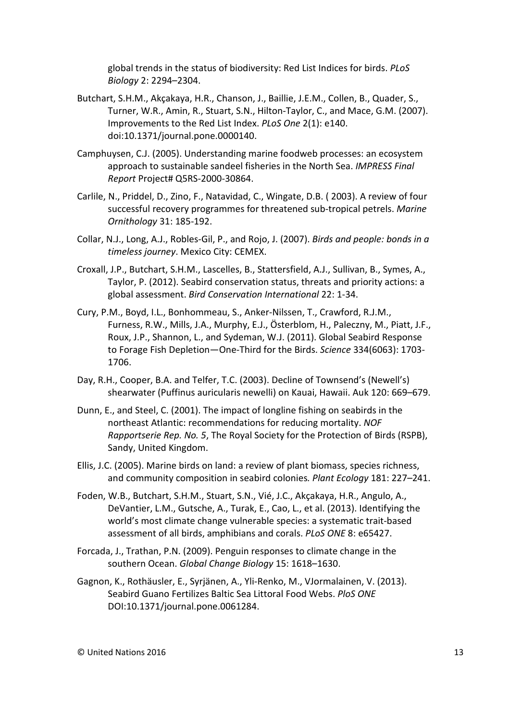global trends in the status of biodiversity: Red List Indices for birds. *PLoS Biology* 2: 2294–2304.

- Butchart, S.H.M., Akçakaya, H.R., Chanson, J., Baillie, J.E.M., Collen, B., Quader, S., Turner, W.R., Amin, R., Stuart, S.N., Hilton-Taylor, C., and Mace, G.M. (2007). Improvements to the Red List Index. *PLoS One* 2(1): e140. doi:10.1371/journal.pone.0000140.
- Camphuysen, C.J. (2005). Understanding marine foodweb processes: an ecosystem approach to sustainable sandeel fisheries in the North Sea. *IMPRESS Final Report* Project# Q5RS-2000-30864.
- Carlile, N., Priddel, D., Zino, F., Natavidad, C., Wingate, D.B. ( 2003). A review of four successful recovery programmes for threatened sub-tropical petrels. *Marine Ornithology* 31: 185-192.
- Collar, N.J., Long, A.J., Robles-Gil, P., and Rojo, J. (2007). *Birds and people: bonds in a timeless journey*. Mexico City: CEMEX.
- Croxall, J.P., Butchart, S.H.M., Lascelles, B., Stattersfield, A.J., Sullivan, B., Symes, A., Taylor, P. (2012). Seabird conservation status, threats and priority actions: a global assessment. *Bird Conservation International* 22: 1-34.
- Cury, P.M., Boyd, I.L., Bonhommeau, S., Anker-Nilssen, T., Crawford, R.J.M., Furness, R.W., Mills, J.A., Murphy, E.J., Österblom, H., Paleczny, M., Piatt, J.F., Roux, J.P., Shannon, L., and Sydeman, W.J. (2011). Global Seabird Response to Forage Fish Depletion—One-Third for the Birds. *Science* 334(6063): 1703- 1706.
- Day, R.H., Cooper, B.A. and Telfer, T.C. (2003). Decline of Townsend's (Newell's) shearwater (Puffinus auricularis newelli) on Kauai, Hawaii. Auk 120: 669–679.
- Dunn, E., and Steel, C. (2001). The impact of longline fishing on seabirds in the northeast Atlantic: recommendations for reducing mortality. *NOF Rapportserie Rep. No. 5*, The Royal Society for the Protection of Birds (RSPB), Sandy, United Kingdom.
- Ellis, J.C. (2005). Marine birds on land: a review of plant biomass, species richness, and community composition in seabird colonies*. Plant Ecology* 181: 227–241.
- Foden, W.B., Butchart, S.H.M., Stuart, S.N., Vié, J.C., Akçakaya, H.R., Angulo, A., DeVantier, L.M., Gutsche, A., Turak, E., Cao, L., et al. (2013). Identifying the world's most climate change vulnerable species: a systematic trait-based assessment of all birds, amphibians and corals. *PLoS ONE* 8: e65427.
- Forcada, J., Trathan, P.N. (2009). Penguin responses to climate change in the southern Ocean. *Global Change Biology* 15: 1618–1630.
- Gagnon, K., Rothäusler, E., Syrjänen, A., Yli-Renko, M., VJormalainen, V. (2013). Seabird Guano Fertilizes Baltic Sea Littoral Food Webs. *PloS ONE* DOI:10.1371/journal.pone.0061284.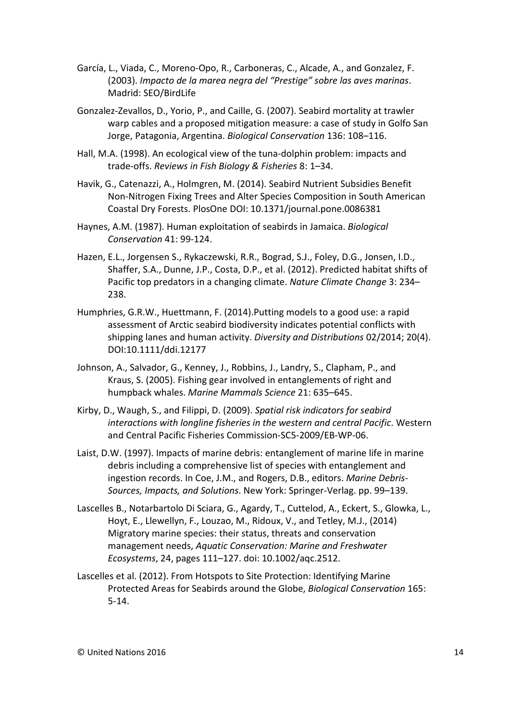- García, L., Viada, C., Moreno-Opo, R., Carboneras, C., Alcade, A., and Gonzalez, F. (2003). *Impacto de la marea negra del "Prestige" sobre las aves marinas*. Madrid: SEO/BirdLife
- Gonzalez-Zevallos, D., Yorio, P., and Caille, G. (2007). Seabird mortality at trawler warp cables and a proposed mitigation measure: a case of study in Golfo San Jorge, Patagonia, Argentina. *Biological Conservation* 136: 108–116.
- Hall, M.A. (1998). An ecological view of the tuna-dolphin problem: impacts and trade-offs. *Reviews in Fish Biology & Fisheries* 8: 1–34.
- Havik, G., Catenazzi, A., Holmgren, M. (2014). Seabird Nutrient Subsidies Benefit Non-Nitrogen Fixing Trees and Alter Species Composition in South American Coastal Dry Forests. PlosOne DOI: 10.1371/journal.pone.0086381
- Haynes, A.M. (1987). Human exploitation of seabirds in Jamaica. *Biological Conservation* 41: 99-124.
- Hazen, E.L., Jorgensen S., Rykaczewski, R.R., Bograd, S.J., Foley, D.G., Jonsen, I.D., Shaffer, S.A., Dunne, J.P., Costa, D.P., et al. (2012). Predicted habitat shifts of Pacific top predators in a changing climate. *Nature Climate Change* 3: 234– 238.
- Humphries, G.R.W., Huettmann, F. (2014).Putting models to a good use: a rapid assessment of Arctic seabird biodiversity indicates potential conflicts with shipping lanes and human activity. *Diversity and Distributions* 02/2014; 20(4). DOI:10.1111/ddi.12177
- Johnson, A., Salvador, G., Kenney, J., Robbins, J., Landry, S., Clapham, P., and Kraus, S. (2005). Fishing gear involved in entanglements of right and humpback whales. *Marine Mammals Science* 21: 635–645.
- Kirby, D., Waugh, S., and Filippi, D. (2009). *Spatial risk indicators for seabird interactions with longline fisheries in the western and central Pacific*. Western and Central Pacific Fisheries Commission-SC5-2009/EB-WP-06.
- Laist, D.W. (1997). Impacts of marine debris: entanglement of marine life in marine debris including a comprehensive list of species with entanglement and ingestion records. In Coe, J.M., and Rogers, D.B., editors. *Marine Debris-Sources, Impacts, and Solutions*. New York: Springer-Verlag. pp. 99–139.
- Lascelles B., Notarbartolo Di Sciara, G., Agardy, T., Cuttelod, A., Eckert, S., Glowka, L., Hoyt, E., Llewellyn, F., Louzao, M., Ridoux, V., and Tetley, M.J., (2014) Migratory marine species: their status, threats and conservation management needs, *Aquatic Conservation: Marine and Freshwater Ecosystems*, 24, pages 111–127. doi: 10.1002/aqc.2512.
- Lascelles et al. (2012). From Hotspots to Site Protection: Identifying Marine Protected Areas for Seabirds around the Globe, *Biological Conservation* 165: 5-14.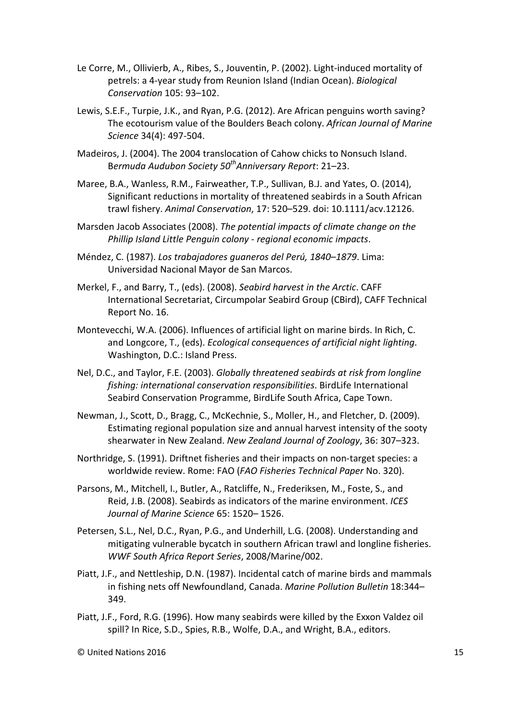- Le Corre, M., Ollivierb, A., Ribes, S., Jouventin, P. (2002). Light-induced mortality of petrels: a 4-year study from Reunion Island (Indian Ocean). *Biological Conservation* 105: 93–102.
- Lewis, S.E.F., Turpie, J.K., and Ryan, P.G. (2012). Are African penguins worth saving? The ecotourism value of the Boulders Beach colony. *African Journal of Marine Science* 34(4): 497-504.
- Madeiros, J. (2004). The 2004 translocation of Cahow chicks to Nonsuch Island. Bermuda Audubon Society 50<sup>th</sup>Anniversary Report: 21–23.
- Maree, B.A., Wanless, R.M., Fairweather, T.P., Sullivan, B.J. and Yates, O. (2014), Significant reductions in mortality of threatened seabirds in a South African trawl fishery. *Animal Conservation*, 17: 520–529. doi: 10.1111/acv.12126.
- Marsden Jacob Associates (2008). *The potential impacts of climate change on the Phillip Island Little Penguin colony - regional economic impacts*.
- Méndez, C. (1987). *Los trabajadores guaneros del Perú, 1840–1879*. Lima: Universidad Nacional Mayor de San Marcos.
- Merkel, F., and Barry, T., (eds). (2008). *Seabird harvest in the Arctic*. CAFF International Secretariat, Circumpolar Seabird Group (CBird), CAFF Technical Report No. 16.
- Montevecchi, W.A. (2006). Influences of artificial light on marine birds. In Rich, C. and Longcore, T., (eds). *Ecological consequences of artificial night lighting*. Washington, D.C.: Island Press.
- Nel, D.C., and Taylor, F.E. (2003). *Globally threatened seabirds at risk from longline fishing: international conservation responsibilities*. BirdLife International Seabird Conservation Programme, BirdLife South Africa, Cape Town.
- Newman, J., Scott, D., Bragg, C., McKechnie, S., Moller, H., and Fletcher, D. (2009). Estimating regional population size and annual harvest intensity of the sooty shearwater in New Zealand. *New Zealand Journal of Zoology*, 36: 307–323.
- Northridge, S. (1991). Driftnet fisheries and their impacts on non-target species: a worldwide review. Rome: FAO (*FAO Fisheries Technical Paper* No. 320).
- Parsons, M., Mitchell, I., Butler, A., Ratcliffe, N., Frederiksen, M., Foste, S., and Reid, J.B. (2008). Seabirds as indicators of the marine environment. *ICES Journal of Marine Science* 65: 1520– 1526.
- Petersen, S.L., Nel, D.C., Ryan, P.G., and Underhill, L.G. (2008). Understanding and mitigating vulnerable bycatch in southern African trawl and longline fisheries. *WWF South Africa Report Series*, 2008/Marine/002.
- Piatt, J.F., and Nettleship, D.N. (1987). Incidental catch of marine birds and mammals in fishing nets off Newfoundland, Canada. *Marine Pollution Bulletin* 18:344– 349.
- Piatt, J.F., Ford, R.G. (1996). How many seabirds were killed by the Exxon Valdez oil spill? In Rice, S.D., Spies, R.B., Wolfe, D.A., and Wright, B.A., editors.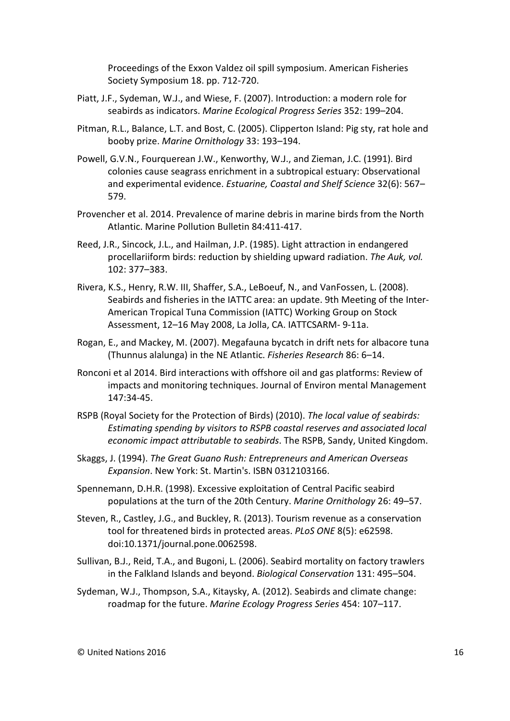Proceedings of the Exxon Valdez oil spill symposium. American Fisheries Society Symposium 18. pp. 712-720.

- Piatt, J.F., Sydeman, W.J., and Wiese, F. (2007). Introduction: a modern role for seabirds as indicators. *Marine Ecological Progress Series* 352: 199–204.
- Pitman, R.L., Balance, L.T. and Bost, C. (2005). Clipperton Island: Pig sty, rat hole and booby prize. *Marine Ornithology* 33: 193–194.
- Powell, G.V.N., Fourquerean J.W., Kenworthy, W.J., and Zieman, J.C. (1991). Bird colonies cause seagrass enrichment in a subtropical estuary: Observational and experimental evidence. *Estuarine, Coastal and Shelf Science* 32(6): 567– 579.
- Provencher et al. 2014. Prevalence of marine debris in marine birds from the North Atlantic. Marine Pollution Bulletin 84:411-417.
- Reed, J.R., Sincock, J.L., and Hailman, J.P. (1985). Light attraction in endangered procellariiform birds: reduction by shielding upward radiation. *The Auk, vol.* 102: 377–383.
- Rivera, K.S., Henry, R.W. III, Shaffer, S.A., LeBoeuf, N., and VanFossen, L. (2008). Seabirds and fisheries in the IATTC area: an update. 9th Meeting of the Inter-American Tropical Tuna Commission (IATTC) Working Group on Stock Assessment, 12–16 May 2008, La Jolla, CA. IATTCSARM- 9-11a.
- Rogan, E., and Mackey, M. (2007). Megafauna bycatch in drift nets for albacore tuna (Thunnus alalunga) in the NE Atlantic. *Fisheries Research* 86: 6–14.
- Ronconi et al 2014. Bird interactions with offshore oil and gas platforms: Review of impacts and monitoring techniques. Journal of Environ mental Management 147:34-45.
- RSPB (Royal Society for the Protection of Birds) (2010). *The local value of seabirds: Estimating spending by visitors to RSPB coastal reserves and associated local economic impact attributable to seabirds*. The RSPB, Sandy, United Kingdom.
- Skaggs, J. (1994). *The Great Guano Rush: Entrepreneurs and American Overseas Expansion*. New York: St. Martin's. ISBN 0312103166.
- Spennemann, D.H.R. (1998). Excessive exploitation of Central Pacific seabird populations at the turn of the 20th Century. *Marine Ornithology* 26: 49–57.
- Steven, R., Castley, J.G., and Buckley, R. (2013). Tourism revenue as a conservation tool for threatened birds in protected areas. *PLoS ONE* 8(5): e62598. doi:10.1371/journal.pone.0062598.
- Sullivan, B.J., Reid, T.A., and Bugoni, L. (2006). Seabird mortality on factory trawlers in the Falkland Islands and beyond. *Biological Conservation* 131: 495–504.
- Sydeman, W.J., Thompson, S.A., Kitaysky, A. (2012). Seabirds and climate change: roadmap for the future. *Marine Ecology Progress Series* 454: 107–117.